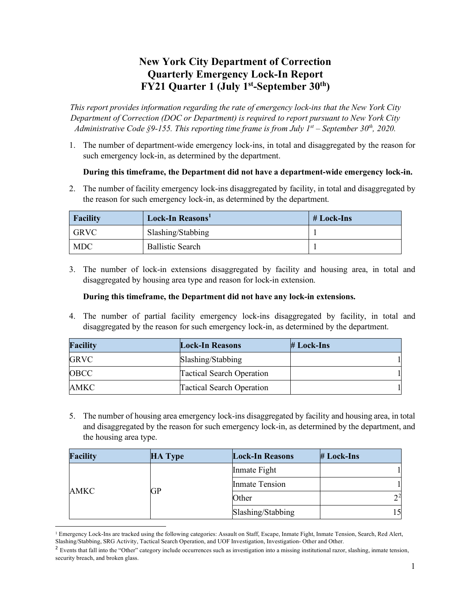# **New York City Department of Correction Quarterly Emergency Lock-In Report FY21 Quarter 1 (July 1st-September 30th)**

*This report provides information regarding the rate of emergency lock-ins that the New York City Department of Correction (DOC or Department) is required to report pursuant to New York City Administrative Code §9-155. This reporting time frame is from July 1st – September 30th, 2020.*

1. The number of department-wide emergency lock-ins, in total and disaggregated by the reason for such emergency lock-in, as determined by the department.

### **During this timeframe, the Department did not have a department-wide emergency lock-in.**

2. The number of facility emergency lock-ins disaggregated by facility, in total and disaggregated by the reason for such emergency lock-in, as determined by the department.

| Facility          | Lock-In Reasons'        | # Lock-Ins |
|-------------------|-------------------------|------------|
| <sup>1</sup> GRVC | Slashing/Stabbing       |            |
| MDC               | <b>Ballistic Search</b> |            |

3. The number of lock-in extensions disaggregated by facility and housing area, in total and disaggregated by housing area type and reason for lock-in extension.

#### **During this timeframe, the Department did not have any lock-in extensions.**

4. The number of partial facility emergency lock-ins disaggregated by facility, in total and disaggregated by the reason for such emergency lock-in, as determined by the department.

| <b>Facility</b> | <b>Lock-In Reasons</b>           | $# Lock-Ins$ |
|-----------------|----------------------------------|--------------|
| <b>GRVC</b>     | Slashing/Stabbing                |              |
| OBCC            | <b>Tactical Search Operation</b> |              |
| AMKC            | <b>Tactical Search Operation</b> |              |

5. The number of housing area emergency lock-ins disaggregated by facility and housing area, in total and disaggregated by the reason for such emergency lock-in, as determined by the department, and the housing area type.

|      | <b>Facility</b> | <b>HA Type</b>        | <b>Lock-In Reasons</b> | # Lock-Ins |
|------|-----------------|-----------------------|------------------------|------------|
| AMKC | GP              | Inmate Fight          |                        |            |
|      |                 | <b>Inmate Tension</b> |                        |            |
|      |                 | Other                 | $2^2$                  |            |
|      |                 | Slashing/Stabbing     | 15                     |            |

<span id="page-0-0"></span><sup>&</sup>lt;sup>1</sup> Emergency Lock-Ins are tracked using the following categories: Assault on Staff, Escape, Inmate Fight, Inmate Tension, Search, Red Alert, Slashing/Stabbing, SRG Activity, Tactical Search Operation, and UOF Investigation, Investigation- Other and Other.

<span id="page-0-1"></span><sup>&</sup>lt;sup>2</sup> Events that fall into the "Other" category include occurrences such as investigation into a missing institutional razor, slashing, inmate tension, security breach, and broken glass.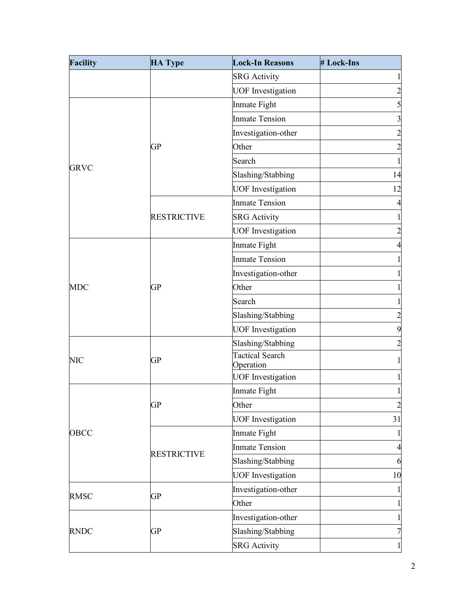| <b>Facility</b> | <b>HA Type</b>     | <b>Lock-In Reasons</b>              | # Lock-Ins              |
|-----------------|--------------------|-------------------------------------|-------------------------|
|                 |                    | <b>SRG</b> Activity                 | $\mathbf{1}$            |
|                 |                    | <b>UOF</b> Investigation            | $\overline{\mathbf{c}}$ |
|                 |                    | Inmate Fight                        | 5                       |
|                 |                    | <b>Inmate Tension</b>               | $\overline{\mathbf{3}}$ |
|                 |                    | Investigation-other                 | $\overline{c}$          |
|                 | <b>GP</b>          | Other                               | $\overline{c}$          |
|                 |                    | Search                              | $\,1$                   |
| <b>GRVC</b>     |                    | Slashing/Stabbing                   | 14                      |
|                 |                    | <b>UOF</b> Investigation            | 12                      |
|                 |                    | <b>Inmate Tension</b>               | $\overline{4}$          |
|                 | <b>RESTRICTIVE</b> | <b>SRG</b> Activity                 | $\mathbf{1}$            |
|                 |                    | <b>UOF</b> Investigation            | $\overline{\mathbf{c}}$ |
|                 |                    | Inmate Fight                        | $\overline{4}$          |
|                 |                    | <b>Inmate Tension</b>               | $\mathbf{1}$            |
|                 |                    | Investigation-other                 | $\mathbf{1}$            |
| <b>MDC</b>      | GP                 | Other                               | $\mathbf{1}$            |
|                 |                    | Search                              | $\mathbf{1}$            |
|                 |                    | Slashing/Stabbing                   | $\overline{c}$          |
|                 |                    | <b>UOF</b> Investigation            | 9                       |
|                 |                    | Slashing/Stabbing                   | $\overline{c}$          |
| <b>NIC</b>      | GP                 | <b>Tactical Search</b><br>Operation | $\mathbf{1}$            |
|                 |                    | <b>UOF</b> Investigation            | $\mathbf 1$             |
|                 |                    | Inmate Fight                        | $\mathbf{1}$            |
|                 | <b>GP</b>          | Other                               | $\overline{c}$          |
|                 |                    | <b>UOF</b> Investigation            | 31                      |
| OBCC            |                    | Inmate Fight                        | $\mathbf{1}$            |
|                 | <b>RESTRICTIVE</b> | <b>Inmate Tension</b>               | $\overline{a}$          |
|                 |                    | Slashing/Stabbing                   | 6                       |
|                 |                    | <b>UOF</b> Investigation            | 10                      |
| <b>RMSC</b>     | <b>GP</b>          | Investigation-other                 | $\mathbf{1}$            |
|                 |                    | Other                               | $\mathbf{1}$            |
|                 |                    | Investigation-other                 | $\mathbf{1}$            |
| <b>RNDC</b>     | GP                 | Slashing/Stabbing                   | $\overline{7}$          |
|                 |                    | <b>SRG</b> Activity                 | $\mathbf{1}$            |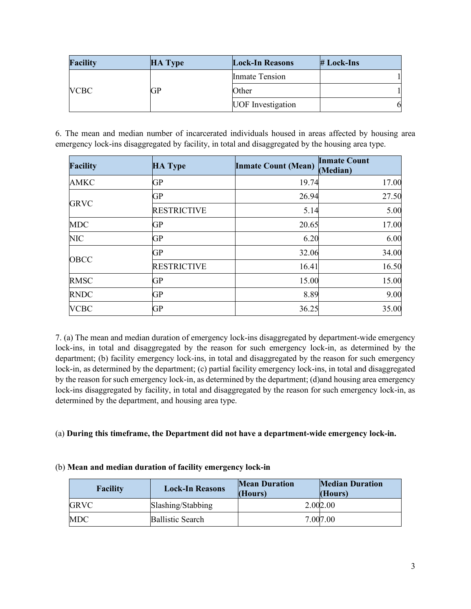| <b>Facility</b> | <b>HA Type</b> | <b>Lock-In Reasons</b>   | $# Lock-Ins$ |
|-----------------|----------------|--------------------------|--------------|
| <b>VCBC</b>     | GP             | <b>Inmate Tension</b>    |              |
|                 |                | Other                    |              |
|                 |                | <b>UOF</b> Investigation |              |

6. The mean and median number of incarcerated individuals housed in areas affected by housing area emergency lock-ins disaggregated by facility, in total and disaggregated by the housing area type.

| <b>Facility</b> | <b>HA Type</b>     | <b>Inmate Count (Mean)</b> | <b>Inmate Count</b><br>(Median) |
|-----------------|--------------------|----------------------------|---------------------------------|
| <b>AMKC</b>     | GP                 | 19.74                      | 17.00                           |
|                 | <b>GP</b>          | 26.94                      | 27.50                           |
| <b>GRVC</b>     | <b>RESTRICTIVE</b> | 5.14                       | 5.00                            |
| <b>MDC</b>      | <b>GP</b>          | 20.65                      | 17.00                           |
| <b>NIC</b>      | <b>GP</b>          | 6.20                       | 6.00                            |
| OBCC            | <b>GP</b>          | 32.06                      | 34.00                           |
|                 | <b>RESTRICTIVE</b> | 16.41                      | 16.50                           |
| <b>RMSC</b>     | GP                 | 15.00                      | 15.00                           |
| <b>RNDC</b>     | <b>GP</b>          | 8.89                       | 9.00                            |
| <b>VCBC</b>     | <b>GP</b>          | 36.25                      | 35.00                           |

7. (a) The mean and median duration of emergency lock-ins disaggregated by department-wide emergency lock-ins, in total and disaggregated by the reason for such emergency lock-in, as determined by the department; (b) facility emergency lock-ins, in total and disaggregated by the reason for such emergency lock-in, as determined by the department; (c) partial facility emergency lock-ins, in total and disaggregated by the reason for such emergency lock-in, as determined by the department; (d)and housing area emergency lock-ins disaggregated by facility, in total and disaggregated by the reason for such emergency lock-in, as determined by the department, and housing area type.

### (a) **During this timeframe, the Department did not have a department-wide emergency lock-in.**

#### (b) **Mean and median duration of facility emergency lock-in**

| <b>Facility</b> | <b>Lock-In Reasons</b>  | <b>Mean Duration</b><br>(Hours) | <b>Median Duration</b><br>(Hours) |
|-----------------|-------------------------|---------------------------------|-----------------------------------|
| <b>GRVC</b>     | Slashing/Stabbing       |                                 | 2.002.00                          |
| <b>MDC</b>      | <b>Ballistic Search</b> |                                 | 7.007.00                          |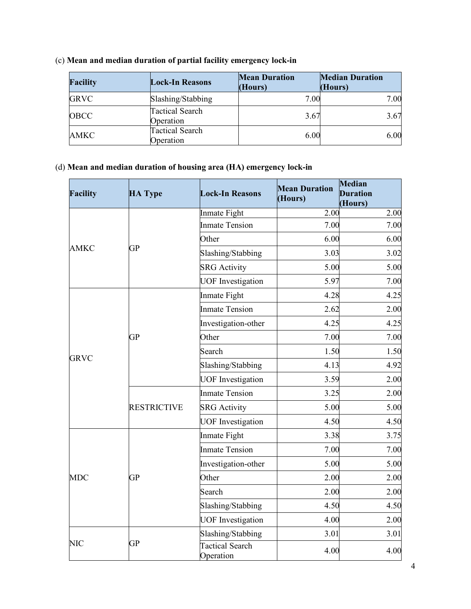| <b>Facility</b> | <b>Lock-In Reasons</b>              | <b>Mean Duration</b><br>(Hours) | <b>Median Duration</b><br>(Hours) |
|-----------------|-------------------------------------|---------------------------------|-----------------------------------|
| <b>GRVC</b>     | Slashing/Stabbing                   | 7.00                            | 7.00                              |
| <b>OBCC</b>     | <b>Tactical Search</b><br>Operation | 3.67                            | 3.67                              |
| AMKC            | <b>Tactical Search</b><br>Operation | 6.00                            | 6.00                              |

### (c) **Mean and median duration of partial facility emergency lock-in**

## (d) **Mean and median duration of housing area (HA) emergency lock-in**

| <b>Facility</b> | <b>HA Type</b>     | <b>Lock-In Reasons</b>              | <b>Mean Duration</b><br>(Hours) | Median<br><b>Duration</b><br>(Hours) |
|-----------------|--------------------|-------------------------------------|---------------------------------|--------------------------------------|
|                 |                    | Inmate Fight                        | 2.00                            | 2.00                                 |
|                 |                    | <b>Inmate Tension</b>               | 7.00                            | 7.00                                 |
|                 |                    | Other                               | 6.00                            | 6.00                                 |
| <b>AMKC</b>     | <b>GP</b>          | Slashing/Stabbing                   | 3.03                            | 3.02                                 |
|                 |                    | <b>SRG</b> Activity                 | 5.00                            | 5.00                                 |
|                 |                    | <b>UOF</b> Investigation            | 5.97                            | 7.00                                 |
|                 |                    | Inmate Fight                        | 4.28                            | 4.25                                 |
|                 |                    | <b>Inmate Tension</b>               | 2.62                            | 2.00                                 |
|                 |                    | Investigation-other                 | 4.25                            | 4.25                                 |
|                 | <b>GP</b>          | Other                               | 7.00                            | 7.00                                 |
|                 |                    | Search                              | 1.50                            | 1.50                                 |
| <b>GRVC</b>     |                    | Slashing/Stabbing                   | 4.13                            | 4.92                                 |
|                 |                    | <b>UOF</b> Investigation            | 3.59                            | 2.00                                 |
|                 |                    | <b>Inmate Tension</b>               | 3.25                            | 2.00                                 |
|                 | <b>RESTRICTIVE</b> | <b>SRG</b> Activity                 | 5.00                            | 5.00                                 |
|                 |                    | <b>UOF</b> Investigation            | 4.50                            | 4.50                                 |
|                 |                    | Inmate Fight                        | 3.38                            | 3.75                                 |
|                 |                    | <b>Inmate Tension</b>               | 7.00                            | 7.00                                 |
|                 |                    | Investigation-other                 | 5.00                            | 5.00                                 |
| <b>MDC</b>      | <b>GP</b>          | Other                               | 2.00                            | 2.00                                 |
|                 |                    | Search                              | 2.00                            | 2.00                                 |
|                 |                    | Slashing/Stabbing                   | 4.50                            | 4.50                                 |
|                 |                    | <b>UOF</b> Investigation            | 4.00                            | 2.00                                 |
|                 |                    | Slashing/Stabbing                   | 3.01                            | 3.01                                 |
| <b>NIC</b>      | <b>GP</b>          | <b>Tactical Search</b><br>Operation | 4.00                            | 4.00                                 |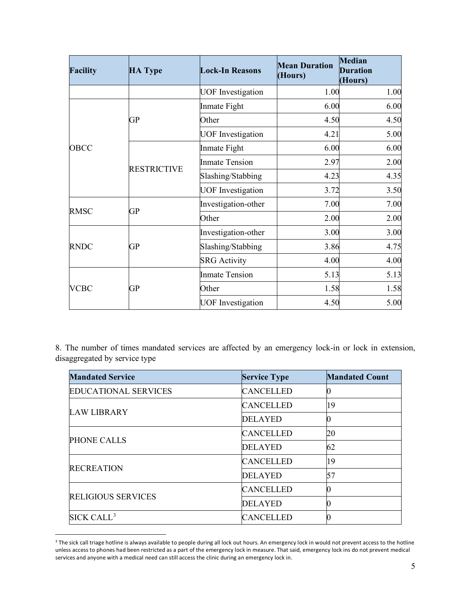| <b>Facility</b> | <b>HA Type</b>     | <b>Lock-In Reasons</b>   | <b>Mean Duration</b><br>(Hours) | Median<br><b>Duration</b><br>(Hours) |
|-----------------|--------------------|--------------------------|---------------------------------|--------------------------------------|
|                 |                    | <b>UOF</b> Investigation | 1.00                            | 1.00                                 |
|                 |                    | Inmate Fight             | 6.00                            | 6.00                                 |
|                 | GP                 | Other                    | 4.50                            | 4.50                                 |
|                 |                    | <b>UOF</b> Investigation | 4.21                            | 5.00                                 |
| OBCC            |                    | Inmate Fight             | 6.00                            | 6.00                                 |
|                 | <b>RESTRICTIVE</b> | <b>Inmate Tension</b>    | 2.97                            | 2.00                                 |
|                 |                    | Slashing/Stabbing        | 4.23                            | 4.35                                 |
|                 |                    | <b>UOF</b> Investigation | 3.72                            | 3.50                                 |
|                 |                    | Investigation-other      | 7.00                            | 7.00                                 |
| <b>RMSC</b>     | <b>GP</b>          | Other                    | 2.00                            | 2.00                                 |
|                 |                    | Investigation-other      | 3.00                            | 3.00                                 |
| <b>RNDC</b>     | GР                 | Slashing/Stabbing        | 3.86                            | 4.75                                 |
|                 |                    | <b>SRG</b> Activity      | 4.00                            | 4.00                                 |
|                 |                    | <b>Inmate Tension</b>    | 5.13                            | 5.13                                 |
| <b>VCBC</b>     | GP                 | Other                    | 1.58                            | 1.58                                 |
|                 |                    | <b>UOF</b> Investigation | 4.50                            | 5.00                                 |

8. The number of times mandated services are affected by an emergency lock-in or lock in extension, disaggregated by service type

| <b>Mandated Service</b>     | <b>Service Type</b> | <b>Mandated Count</b> |
|-----------------------------|---------------------|-----------------------|
| <b>EDUCATIONAL SERVICES</b> | <b>CANCELLED</b>    | 10                    |
| <b>LAW LIBRARY</b>          | <b>CANCELLED</b>    | 19                    |
|                             | <b>DELAYED</b>      | 10                    |
| <b>PHONE CALLS</b>          | <b>CANCELLED</b>    | <b>20</b>             |
|                             | <b>DELAYED</b>      | 62                    |
|                             | <b>CANCELLED</b>    | 19                    |
| <b>RECREATION</b>           | <b>DELAYED</b>      | 57                    |
|                             | <b>CANCELLED</b>    | Ю                     |
| <b>RELIGIOUS SERVICES</b>   | <b>DELAYED</b>      |                       |
| SICK CALL <sup>3</sup>      | <b>CANCELLED</b>    |                       |

<span id="page-4-0"></span><sup>&</sup>lt;sup>3</sup> The sick call triage hotline is always available to people during all lock out hours. An emergency lock in would not prevent access to the hotline unless access to phones had been restricted as a part of the emergency lock in measure. That said, emergency lock ins do not prevent medical services and anyone with a medical need can still access the clinic during an emergency lock in.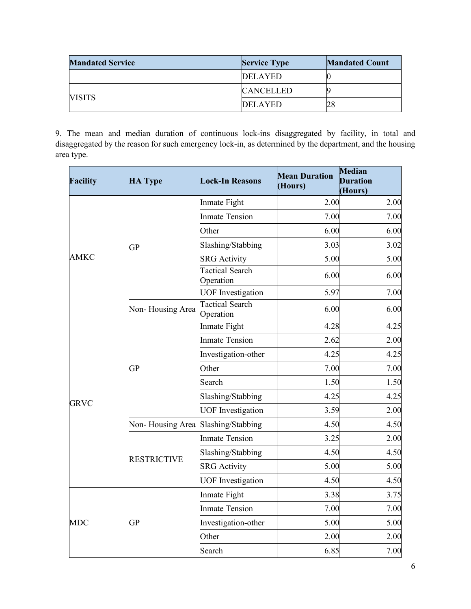| <b>Mandated Service</b> | <b>Service Type</b> | <b>Mandated Count</b> |
|-------------------------|---------------------|-----------------------|
|                         | <b>DELAYED</b>      |                       |
|                         | <b>CANCELLED</b>    |                       |
| <b>VISITS</b>           | <b>DELAYED</b>      |                       |

9. The mean and median duration of continuous lock-ins disaggregated by facility, in total and disaggregated by the reason for such emergency lock-in, as determined by the department, and the housing area type.

| <b>Facility</b>                                                                                         | <b>HA Type</b>   | <b>Lock-In Reasons</b>                                                                                                                                                                                                                                                                                                                                                                                                                                                                                                  | <b>Mean Duration</b><br>(Hours) | Median<br><b>Duration</b><br>(Hours) |
|---------------------------------------------------------------------------------------------------------|------------------|-------------------------------------------------------------------------------------------------------------------------------------------------------------------------------------------------------------------------------------------------------------------------------------------------------------------------------------------------------------------------------------------------------------------------------------------------------------------------------------------------------------------------|---------------------------------|--------------------------------------|
|                                                                                                         |                  | Inmate Fight                                                                                                                                                                                                                                                                                                                                                                                                                                                                                                            | 2.00                            | 2.00                                 |
|                                                                                                         |                  | <b>Inmate Tension</b><br>Other<br>Slashing/Stabbing<br><b>SRG</b> Activity<br><b>Tactical Search</b><br>Operation<br><b>UOF</b> Investigation<br><b>Tactical Search</b><br>Operation<br>Inmate Fight<br><b>Inmate Tension</b><br>Investigation-other<br>Other<br>Search<br>Slashing/Stabbing<br><b>UOF</b> Investigation<br>Slashing/Stabbing<br><b>Inmate Tension</b><br>Slashing/Stabbing<br><b>SRG</b> Activity<br><b>UOF</b> Investigation<br>Inmate Fight<br><b>Inmate Tension</b><br>Investigation-other<br>Other |                                 | 7.00                                 |
|                                                                                                         |                  |                                                                                                                                                                                                                                                                                                                                                                                                                                                                                                                         |                                 | 6.00                                 |
|                                                                                                         | <b>GP</b>        |                                                                                                                                                                                                                                                                                                                                                                                                                                                                                                                         |                                 | 3.02                                 |
| <b>AMKC</b>                                                                                             |                  |                                                                                                                                                                                                                                                                                                                                                                                                                                                                                                                         |                                 | 5.00                                 |
|                                                                                                         |                  |                                                                                                                                                                                                                                                                                                                                                                                                                                                                                                                         |                                 | 6.00                                 |
|                                                                                                         |                  |                                                                                                                                                                                                                                                                                                                                                                                                                                                                                                                         |                                 | 7.00                                 |
|                                                                                                         | Non-Housing Area |                                                                                                                                                                                                                                                                                                                                                                                                                                                                                                                         |                                 | 6.00                                 |
|                                                                                                         |                  |                                                                                                                                                                                                                                                                                                                                                                                                                                                                                                                         |                                 | 4.25                                 |
| <b>GP</b><br><b>GRVC</b><br>Non-Housing Area<br><b>RESTRICTIVE</b><br><b>MDC</b><br><b>GP</b><br>Search |                  |                                                                                                                                                                                                                                                                                                                                                                                                                                                                                                                         |                                 | 2.00                                 |
|                                                                                                         |                  |                                                                                                                                                                                                                                                                                                                                                                                                                                                                                                                         |                                 | 4.25                                 |
|                                                                                                         |                  | 7.00                                                                                                                                                                                                                                                                                                                                                                                                                                                                                                                    |                                 |                                      |
|                                                                                                         |                  |                                                                                                                                                                                                                                                                                                                                                                                                                                                                                                                         | 1.50                            |                                      |
|                                                                                                         |                  | 7.00<br>6.00<br>3.03<br>5.00<br>6.00<br>5.97<br>6.00<br>4.28<br>2.62<br>4.25<br>7.00<br>1.50<br>4.25<br>3.59<br>4.50<br>3.25<br>4.50<br>5.00<br>4.50<br>3.38<br>7.00<br>5.00<br>2.00<br>6.85                                                                                                                                                                                                                                                                                                                            | 4.25                            |                                      |
|                                                                                                         |                  |                                                                                                                                                                                                                                                                                                                                                                                                                                                                                                                         |                                 | 2.00                                 |
|                                                                                                         |                  |                                                                                                                                                                                                                                                                                                                                                                                                                                                                                                                         |                                 | 4.50                                 |
|                                                                                                         |                  |                                                                                                                                                                                                                                                                                                                                                                                                                                                                                                                         |                                 | 2.00                                 |
|                                                                                                         |                  |                                                                                                                                                                                                                                                                                                                                                                                                                                                                                                                         |                                 | 4.50                                 |
|                                                                                                         |                  |                                                                                                                                                                                                                                                                                                                                                                                                                                                                                                                         |                                 | 5.00                                 |
|                                                                                                         |                  |                                                                                                                                                                                                                                                                                                                                                                                                                                                                                                                         | 4.50                            |                                      |
|                                                                                                         |                  |                                                                                                                                                                                                                                                                                                                                                                                                                                                                                                                         |                                 | 3.75                                 |
|                                                                                                         |                  |                                                                                                                                                                                                                                                                                                                                                                                                                                                                                                                         |                                 | 7.00                                 |
|                                                                                                         |                  |                                                                                                                                                                                                                                                                                                                                                                                                                                                                                                                         |                                 | 5.00                                 |
|                                                                                                         |                  |                                                                                                                                                                                                                                                                                                                                                                                                                                                                                                                         |                                 | 2.00                                 |
|                                                                                                         |                  |                                                                                                                                                                                                                                                                                                                                                                                                                                                                                                                         |                                 | 7.00                                 |